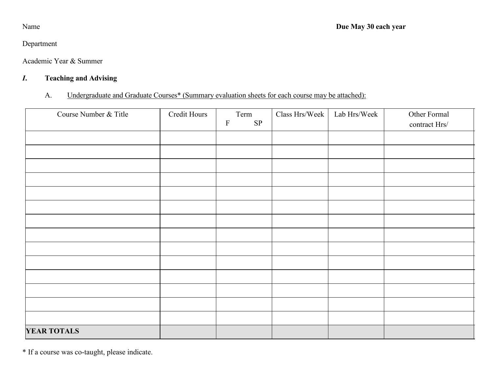## Department

Academic Year & Summer

# *I***. Teaching and Advising**

# A. Undergraduate and Graduate Courses\* (Summary evaluation sheets for each course may be attached):

| Course Number & Title | Credit Hours | Term<br>$\rm SP$<br>$\mathbf F$ | Class Hrs/Week | Lab Hrs/Week | Other Formal<br>contract Hrs/ |
|-----------------------|--------------|---------------------------------|----------------|--------------|-------------------------------|
|                       |              |                                 |                |              |                               |
|                       |              |                                 |                |              |                               |
|                       |              |                                 |                |              |                               |
|                       |              |                                 |                |              |                               |
|                       |              |                                 |                |              |                               |
|                       |              |                                 |                |              |                               |
|                       |              |                                 |                |              |                               |
|                       |              |                                 |                |              |                               |
|                       |              |                                 |                |              |                               |
|                       |              |                                 |                |              |                               |
|                       |              |                                 |                |              |                               |
|                       |              |                                 |                |              |                               |
|                       |              |                                 |                |              |                               |
|                       |              |                                 |                |              |                               |
| <b>YEAR TOTALS</b>    |              |                                 |                |              |                               |

\* If a course was co-taught, please indicate.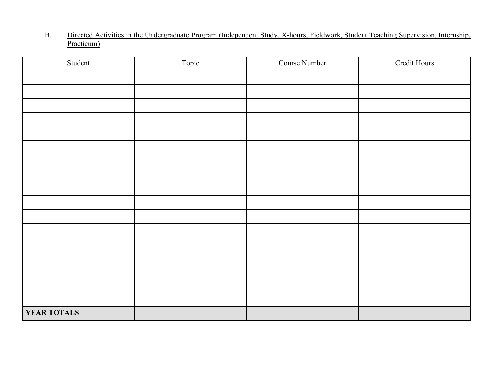#### B. Directed Activities in the Undergraduate Program (Independent Study, X-hours, Fieldwork, Student Teaching Supervision, Internship, Practicum)

| Student     | Topic | Course Number | Credit Hours |
|-------------|-------|---------------|--------------|
|             |       |               |              |
|             |       |               |              |
|             |       |               |              |
|             |       |               |              |
|             |       |               |              |
|             |       |               |              |
|             |       |               |              |
|             |       |               |              |
|             |       |               |              |
|             |       |               |              |
|             |       |               |              |
|             |       |               |              |
|             |       |               |              |
|             |       |               |              |
|             |       |               |              |
|             |       |               |              |
|             |       |               |              |
| YEAR TOTALS |       |               |              |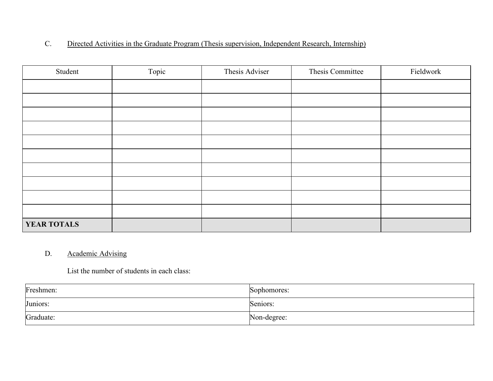## C. Directed Activities in the Graduate Program (Thesis supervision, Independent Research, Internship)

| Student            | Topic | Thesis Adviser | Thesis Committee | Fieldwork |
|--------------------|-------|----------------|------------------|-----------|
|                    |       |                |                  |           |
|                    |       |                |                  |           |
|                    |       |                |                  |           |
|                    |       |                |                  |           |
|                    |       |                |                  |           |
|                    |       |                |                  |           |
|                    |       |                |                  |           |
|                    |       |                |                  |           |
|                    |       |                |                  |           |
|                    |       |                |                  |           |
| <b>YEAR TOTALS</b> |       |                |                  |           |

## D. Academic Advising

List the number of students in each class:

| Freshmen: | Sophomores: |
|-----------|-------------|
| Juniors:  | Seniors:    |
| Graduate: | Non-degree: |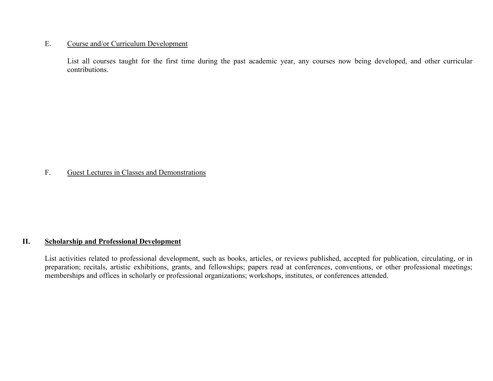#### E. Course and/or Curriculum Development

List all courses taught for the first time during the past academic year, any courses now being developed, and other curricular contributions.

## F. Guest Lectures in Classes and Demonstrations

#### **II. Scholarship and Professional Development**

List activities related to professional development, such as books, articles, or reviews published, accepted for publication, circulating, or in preparation; recitals, artistic exhibitions, grants, and fellowships; papers read at conferences, conventions, or other professional meetings; memberships and offices in scholarly or professional organizations; workshops, institutes, or conferences attended.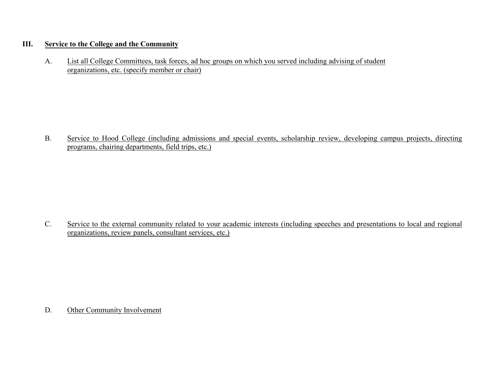## **III. Service to the College and the Community**

A. List all College Committees, task forces, ad hoc groups on which you served including advising of student organizations, etc. (specify member or chair)

B. Service to Hood College (including admissions and special events, scholarship review, developing campus projects, directing programs, chairing departments, field trips, etc.)

C. Service to the external community related to your academic interests (including speeches and presentations to local and regional organizations, review panels, consultant services, etc.)

D. Other Community Involvement